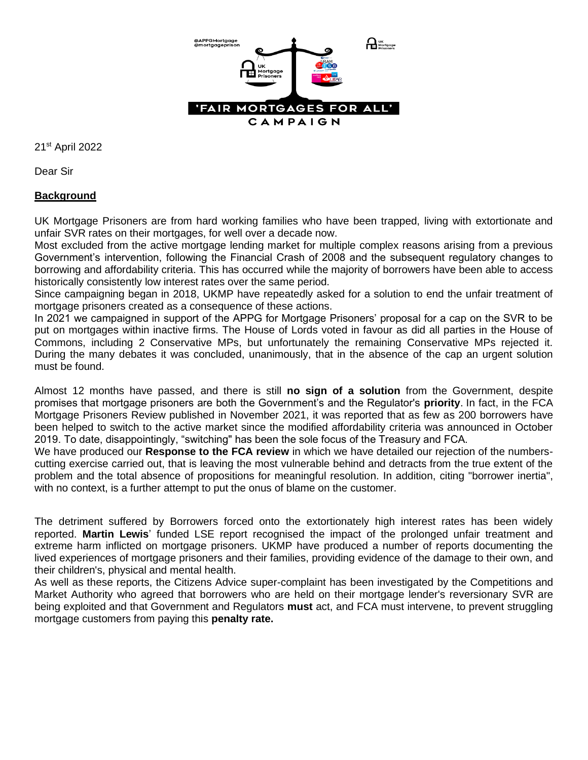

21st April 2022

Dear Sir

# **Background**

UK Mortgage Prisoners are from hard working families who have been trapped, living with extortionate and unfair SVR rates on their mortgages, for well over a decade now.

Most excluded from the active mortgage lending market for multiple complex reasons arising from a previous Government's intervention, following the Financial Crash of 2008 and the subsequent regulatory changes to borrowing and affordability criteria. This has occurred while the majority of borrowers have been able to access historically consistently low interest rates over the same period.

Since campaigning began in 2018, UKMP have repeatedly asked for a solution to end the unfair treatment of mortgage prisoners created as a consequence of these actions.

In 2021 we campaigned in support of the APPG for Mortgage Prisoners' proposal for a cap on the SVR to be put on mortgages within inactive firms. The House of Lords voted in favour as did all parties in the House of Commons, including 2 Conservative MPs, but unfortunately the remaining Conservative MPs rejected it. During the many debates it was concluded, unanimously, that in the absence of the cap an urgent solution must be found.

Almost 12 months have passed, and there is still **no sign of a solution** from the Government, despite promises that mortgage prisoners are both the Government's and the Regulator's **priority**. In fact, in the FCA Mortgage Prisoners Review published in November 2021, it was reported that as few as 200 borrowers have been helped to switch to the active market since the modified affordability criteria was announced in October 2019. To date, disappointingly, "switching" has been the sole focus of the Treasury and FCA.

We have produced our **Response to the FCA review** in which we have detailed our rejection of the numberscutting exercise carried out, that is leaving the most vulnerable behind and detracts from the true extent of the problem and the total absence of propositions for meaningful resolution. In addition, citing "borrower inertia", with no context, is a further attempt to put the onus of blame on the customer.

The detriment suffered by Borrowers forced onto the extortionately high interest rates has been widely reported. **Martin Lewis**' funded LSE report recognised the impact of the prolonged unfair treatment and extreme harm inflicted on mortgage prisoners. UKMP have produced a number of reports documenting the lived experiences of mortgage prisoners and their families, providing evidence of the damage to their own, and their children's, physical and mental health.

As well as these reports, the Citizens Advice super-complaint has been investigated by the Competitions and Market Authority who agreed that borrowers who are held on their mortgage lender's reversionary SVR are being exploited and that Government and Regulators **must** act, and FCA must intervene, to prevent struggling mortgage customers from paying this **penalty rate.**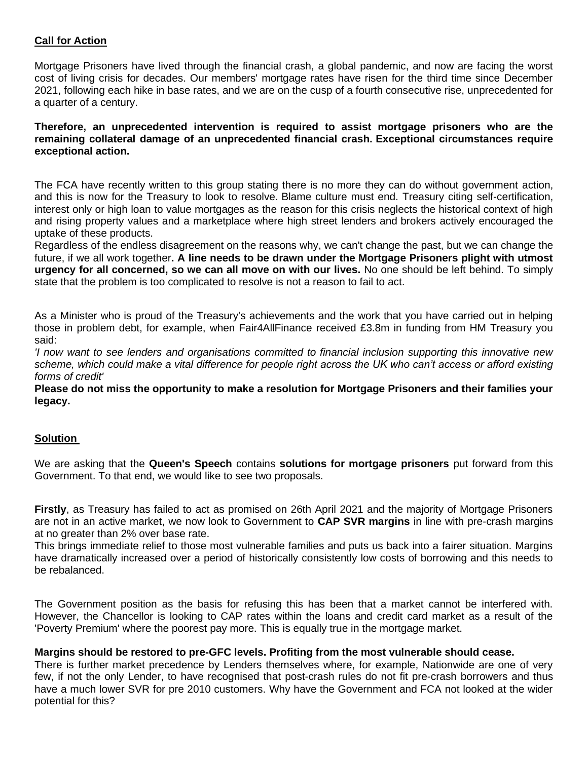## **Call for Action**

Mortgage Prisoners have lived through the financial crash, a global pandemic, and now are facing the worst cost of living crisis for decades. Our members' mortgage rates have risen for the third time since December 2021, following each hike in base rates, and we are on the cusp of a fourth consecutive rise, unprecedented for a quarter of a century.

#### **Therefore, an unprecedented intervention is required to assist mortgage prisoners who are the remaining collateral damage of an unprecedented financial crash. Exceptional circumstances require exceptional action.**

The FCA have recently written to this group stating there is no more they can do without government action, and this is now for the Treasury to look to resolve. Blame culture must end. Treasury citing self-certification, interest only or high loan to value mortgages as the reason for this crisis neglects the historical context of high and rising property values and a marketplace where high street lenders and brokers actively encouraged the uptake of these products.

Regardless of the endless disagreement on the reasons why, we can't change the past, but we can change the future, if we all work together**. A line needs to be drawn under the Mortgage Prisoners plight with utmost urgency for all concerned, so we can all move on with our lives.** No one should be left behind. To simply state that the problem is too complicated to resolve is not a reason to fail to act.

As a Minister who is proud of the Treasury's achievements and the work that you have carried out in helping those in problem debt, for example, when Fair4AllFinance received £3.8m in funding from HM Treasury you said:

*'I now want to see lenders and organisations committed to financial inclusion supporting this innovative new scheme, which could make a vital difference for people right across the UK who can't access or afford existing forms of credit'*

**Please do not miss the opportunity to make a resolution for Mortgage Prisoners and their families your legacy.**

## **Solution**

We are asking that the **Queen's Speech** contains **solutions for mortgage prisoners** put forward from this Government. To that end, we would like to see two proposals.

**Firstly**, as Treasury has failed to act as promised on 26th April 2021 and the majority of Mortgage Prisoners are not in an active market, we now look to Government to **CAP SVR margins** in line with pre-crash margins at no greater than 2% over base rate.

This brings immediate relief to those most vulnerable families and puts us back into a fairer situation. Margins have dramatically increased over a period of historically consistently low costs of borrowing and this needs to be rebalanced.

The Government position as the basis for refusing this has been that a market cannot be interfered with. However, the Chancellor is looking to CAP rates within the loans and credit card market as a result of the 'Poverty Premium' where the poorest pay more. This is equally true in the mortgage market.

#### **Margins should be restored to pre-GFC levels. Profiting from the most vulnerable should cease.**

There is further market precedence by Lenders themselves where, for example, Nationwide are one of very few, if not the only Lender, to have recognised that post-crash rules do not fit pre-crash borrowers and thus have a much lower SVR for pre 2010 customers. Why have the Government and FCA not looked at the wider potential for this?